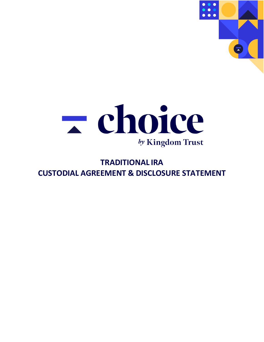



# **TRADITIONAL IRA CUSTODIAL AGREEMENT & DISCLOSURE STATEMENT**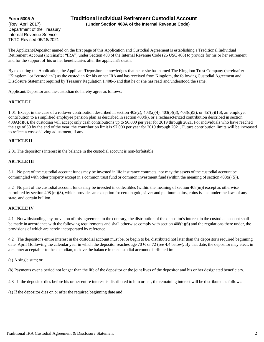Department of the Treasury Internal Revenue Service TKTC Revised 05/18/2021

# **Form 5305-A Traditional Individual Retirement Custodial Account** (Rev. April 2017) **(Under Section 408A of the Internal Revenue Code)**

The Applicant/Depositor named on the first page of this Application and Custodial Agreement is establishing a Traditional Individual Retirement Account (hereinafter "IRA") under Section 408 of the Internal Revenue Code (26 USC 408) to provide for his or her retirement and for the support of his or her beneficiaries after the applicant's death.

By executing the Application, the Applicant/Depositor acknowledges that he orshe has named The Kingdom Trust Company (hereinafter "Kingdom" or "custodian") as the custodian for his or her IRA and has received from Kingdom, the following Custodial Agreement and Disclosure Statement required by Treasury Regulation 1.408-6 and that he or she has read and understood the same.

Applicant/Depositor and the custodian do hereby agree as follows:

#### **ARTICLE I**

1.01 Except in the case of a rollover contribution described in section  $402(c)$ ,  $403(a)(4)$ ,  $403(b)(8)$ ,  $408(d)(3)$ , or  $457(e)(16)$ , an employer contribution to a simplified employee pension plan as described in section 408(k), or a recharacterized contribution described in section 408A(d)(6), the custodian will accept only cash contributions up to \$6,000 per year for 2019 through 2021. For individuals who have reached the age of 50 by the end of the year, the contribution limit is \$7,000 per year for 2019 through 2021. Future contribution limits will be increased to reflect a cost-of-living adjustment, if any.

### **ARTICLE II**

2.01 The depositor's interest in the balance in the custodial account is non-forfeitable.

### **ARTICLE III**

3.1 No part of the custodial account funds may be invested in life insurance contracts, nor may the assets of the custodial account be commingled with other property except in a common trust fund or common investment fund (within the meaning of section 408(a)(5)).

3.2 No part of the custodial account funds may be invested in collectibles (within the meaning of section 408(m)) except as otherwise permitted by section 408 (m)(3), which provides an exception for certain gold, silver and platinum coins, coins issued under the laws of any state, and certain bullion.

#### **ARTICLE IV**

4.1 Notwithstanding any provision of this agreement to the contrary, the distribution of the depositor's interest in the custodial account shall be made in accordance with the following requirements and shall otherwise comply with section  $408(a)(6)$  and the regulations there under, the provisions of which are herein incorporated by reference.

4.2 The depositor's entire interest in the custodial account must be, or begin to be, distributed not later than the depositor's required beginning date, April 1following the calendar year in which the depositor reaches age 70 ½ or 72 (see 4.4 below)*.* By that date, the depositor may elect, in a manner acceptable to the custodian, to have the balance in the custodial account distributed in:

(a) A single sum; or

(b) Payments over a period not longer than the life of the depositor or the joint lives of the depositor and his or her designated beneficiary.

4.3 If the depositor dies before his or her entire interest is distributed to him or her, the remaining interest will be distributed as follows:

(a) If the depositor dies on or after the required beginning date and: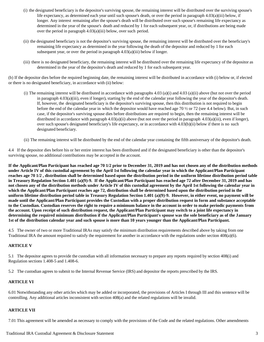- (i) the designated beneficiary is the depositor's surviving spouse, the remaining interest will be distributed over the surviving spouse's life expectancy, as determined each year until such spouse's death, or over the period in paragraph 4.03(a)(iii) below, if longer. Any interest remaining after the spouse's death will be distributed over such spouse's remaining life expectancy as determined in the year of the spouse's death and reduced by 1 for each subsequent year, or, if distributions are being made over the period in paragraph 4.03(a)(iii) below, over such period.
- (ii) the designated beneficiary is not the depositor's surviving spouse, the remaining interest will be distributed over the beneficiary's remaining life expectancy as determined in the year following the death of the depositor and reduced by 1 for each subsequent year, or over the period in paragraph  $4.03(a)(iii)$  below if longer.
- (iii) there is no designated beneficiary, the remaining interest will be distributed over the remaining life expectancy of the depositor as determined in the year of the depositor's death and reduced by 1 for each subsequent year.

(b) If the depositor dies before the required beginning date, the remaining interest will be distributed in accordance with (i) below or, if elected or there is no designated beneficiary, in accordance with (ii) below:

- (i) The remaining interest will be distributed in accordance with paragraphs 4.03 (a)(i) and 4.03 (a)(ii) above (but not over the period in paragraph 4.03(a)(iii), even if longer), starting by the end of the calendar year following the year of the depositor's death. If, however, the designated beneficiary is the depositor's surviving spouse, then this distribution is not required to begin before the end of the calendar year in which the depositor would have reached age 70  $\frac{1}{2}$  or 72 (see 4.4 below). But, in such case, if the depositor's surviving spouse dies before distributions are required to begin, then the remaining interest will be distributed in accordance with paragraph 4.03(a)(ii) above (but not over the period in paragraph 4.03(a)(iii), even if longer), over such spouse's designated beneficiary's life expectancy, or in accordance with 4.03(b)(ii) below if there is no such designated beneficiary.
- (ii) The remaining interest will be distributed by the end of the calendar year containing the fifth anniversary of the depositor's death.

4.4 If the depositor dies before his or her entire interest has been distributed and if the designated beneficiary is other than the depositor's surviving spouse, no additional contributions may be accepted in the account.

**If the Applicant/Plan Participant has reached age 70 1/2 prior to December 31, 2019 and has not chosen any of the distribution methods under Article IV of this custodial agreement by the April 1st following the calendar year in which the Applicant/Plan Participant reaches age 70 1/2 , distribution shall be determined based upon the distribution period in the uniform lifetime distribution period table in Treasury Regulation Section 1.401 (a)(9)-9. If the Applicant/Plan Participant has reached age 72 after December 31, 2019 and has not chosen any of the distribution methods under Article IV of this custodial agreement by the April 1st following the calendar year in which the Applicant/Plan Participant reaches age 72, distribution shall be determined based upon the distribution period in the uniform lifetime distribution period table in Treasury Regulation Section 1.401 (a)(9)-9. However, in either event, no payment will be made until the Applicant/Plan Participant provides the Custodian with a proper distribution request in form and substance acceptable to the Custodian. Custodian reserves the right to require a minimum balance in the account in order to make periodic payments from the account. Upon receipt of such distribution request, the Applicant/Plan Participant may switch to a joint life expectancy in determining the required minimum distribution if the Applicant/Plan Participant's spouse was the sole beneficiary as of the January 1st of the distribution calendar year and such spouse is more than 10 years younger than the Applicant/Plan Participant.**

4.5 The owner of two or more Traditional IRAs may satisfy the minimum distribution requirements described above by taking from one Traditional IRA the amount required to satisfy the requirement for another in accordance with the regulations under section 408(a)(6).

### **ARTICLE V**

5.1 The depositor agrees to provide the custodian with all information necessary to prepare any reports required by section 408(i) and Regulation sections 1.408-5 and 1.408-6.

5.2 The custodian agrees to submit to the Internal Revenue Service (IRS) and depositor the reports prescribed by the IRS.

#### **ARTICLE VI**

6.01 Notwithstanding any other articles which may be added or incorporated, the provisions of Articles I through III and this sentence will be controlling. Any additional articles inconsistent with section 408(a) and the related regulations will be invalid.

#### **ARTICLE VII**

7.01 This agreement will be amended as necessary to comply with the provisions of the Code and the related regulations. Other amendments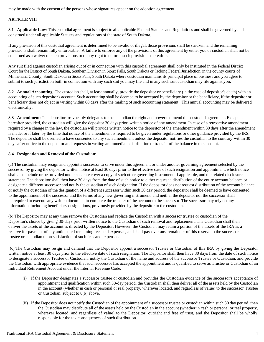may be made with the consent of the persons whose signatures appear on the adoption agreement.

# **ARTICLE VIII**

**8.1 Applicable Law**: This custodial agreement is subject to all applicable Federal Statutes and Regulations and shall be governed by and construed under all applicable Statutes and regulations of the state of South Dakota.

If any provision of this custodial agreement is determined to be invalid or illegal, those provisions shall be stricken, and the remaining provisions shall remain fully enforceable. A failure to enforce any of the provisions of this agreement by either you or custodian shall not be construed as a waiver of such provisions or of any right to enforce such provisions thereafter.

Any suit filed against custodian arising out of or in connection with this custodial agreement shall only be instituted in the Federal District Court for the District of South Dakota, Southern Division in Sioux Falls, South Dakota or, lacking Federal Jurisdiction, in the county courts of Minnehaha County, South Dakota in Sioux Falls, South Dakota where custodian maintains its principal place of business and you agree to submit to such jurisdiction both in connection with any such suit you may file and in any such suit custodian may file against you.

**8.2 Annual Accounting**: The custodian shall, at least annually, provide the depositor or beneficiary (in the case of depositor's death) with an accounting of such depositor's account. Such accounting shall be deemed to be accepted by the depositor or the beneficiary, if the depositor or beneficiary does not object in writing within 60 days after the mailing of such accounting statement. This annual accounting may be delivered electronically.

**8.3 Amendment**: The depositor irrevocably delegates to the custodian the right and power to amend this custodial agreement. Except as hereafter provided, the custodian will give the depositor 30 days prior, written notice of any amendment. In case of a retroactive amendment required by a change in the law, the custodian will provide written notice to the depositor of the amendment within 30 days after the amendment is made, or if later, by the time that notice of the amendment is required to be given under regulations or other guidance provided by the IRS. The depositor shall be deemed to have consented to any such amendment unless the depositor notifies the custodian to the contrary within 30 days after notice to the depositor and requests in writing an immediate distribution or transfer of the balance in the account.

#### **8.4 Resignation and Removal of the Custodian**:

(a) The custodian may resign and appoint a successor to serve under this agreement or under another governing agreement selected by the successor by giving the depositor written notice at least 30 days prior to the effective date of such resignation and appointment, which notice shall also include or be provided under separate cover a copy of such other governing instrument, if applicable, and the related disclosure statement. The depositor shall then have 30 days from the date of such notice to either request a distribution of the entire account balance or designate a different successor and notify the custodian of such designation. If the depositor does not request distribution of the account balance or notify the custodian of the designation of a different successor within such 30 day period, the depositor shall be deemed to have consented to the appointment of the successor and the terms of any new governing instrument, and neither the depositor nor the successor shall be required to execute any written document to complete the transfer of the account to the successor. The successor may rely on any information, including beneficiary designations, previously provided by the depositor to the custodian.

(b) The Depositor may at any time remove the Custodian and replace the Custodian with a successor trustee or custodian of the Depositor's choice by giving 30-days prior written notice to the Custodian of such removal and replacement. The Custodian shall then deliver the assets of the account as directed by the Depositor. However, the Custodian may retain a portion of the assets of the IRA as a reserve for payment of any anticipated remaining fees and expenses, and shall pay over any remainder of this reserve to the successor trustee or custodian upon satisfaction of such fees and expenses.

(c) The Custodian may resign and demand that the Depositor appoint a successor Trustee or Custodian of this IRA by giving the Depositor written notice at least 30 days prior to the effective date of such resignation. The Depositor shall then have 30 days from the date of such notice to designate a successor Trustee or Custodian, notify the Custodian of the name and address of the successor Trustee or Custodian, and provide the Custodian with appropriate evidence that such successor has accepted the appointment and is qualified to serve as Trustee or Custodian of an Individual Retirement Account under the Internal Revenue Code.

- (i) If the Depositor designates a successor trustee or custodian and provides the Custodian evidence of the successor's acceptance of appointment and qualification within such 30-day period, the Custodian shall then deliver all of the assets held by the Custodian in the account (whether in cash or personal or real property, wherever located, and regardless of value) to the successor Trustee or Custodian, subject to 8(b) above.
- (ii) If the Depositor does not notify the Custodian of the appointment of a successor trustee or custodian within such 30 day period, then the Custodian may distribute all of the assets held by the Custodian in the account (whether in cash or personal or real property, wherever located, and regardless of value) to the Depositor, outright and free of trust, and the Depositor shall be wholly responsible for the tax consequences of such distribution.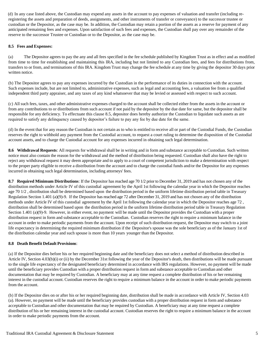(d) In any case listed above, the Custodian may expend any assets in the account to pay expenses of valuation and transfer (including reregistering the assets and preparation of deeds, assignments, and other instruments of transfer or conveyance) to the successor trustee or custodian or the Depositor, as the case may be. In addition, the Custodian may retain a portion of the assets as a reserve for payment of any anticipated remaining fees and expenses. Upon satisfaction of such fees and expenses, the Custodian shall pay over any remainder of the reserve to the successor Trustee or Custodian or to the Depositor, as the case may be.

# **8.5 Fees and Expenses:**

(a) The Depositor agrees to pay the any and all fees specified in the fee schedule published by Kingdom Trust as in effect and as modified from time to time for establishing and maintaining this IRA, including but not limited to any Custodian fees, and fees for distributions from, transfers to or from, and terminations of this IRA. Kingdom Trust may change the fee schedule at any time by giving the depositor 30 days prior written notice.

(b) The Depositor agrees to pay any expenses incurred by the Custodian in the performance of its duties in connection with the account. Such expenses include, but are not limited to, administrative expenses, such as legal and accounting fees, a valuation fee from a qualified independent third party appraiser, and any taxes of any kind whatsoever that may be levied or assessed with respect to such account.

(c) All such fees, taxes, and other administrative expenses charged to the account shall be collected either from the assets in the account or from any contributions to or distributions from such account if not paid by the depositor by the due date for same, but the depositor shall be responsible for any deficiency. To effectuate this clause 8.5, depositor does hereby authorize the Custodian to liquidate such assets as are required to satisfy any delinquency caused by depositor's failure to pay any fee by due date for the same.

(d) In the event that for any reason the Custodian is not certain as to who is entitled to receive all or part of the Custodial Funds, the Custodian reserves the right to withhold any payment from the Custodial account, to request a court ruling to determine the disposition of the Custodial account assets, and to charge the Custodial account for any expenses incurred in obtaining such legal determination.

**8.6 Withdrawal Requests**: All requests for withdrawal shall be in writing and in form and substance acceptable to Custodian. Such written notice must also contain the reason for the withdrawal and the method of distribution being requested. Custodian shall also have the right to reject any withdrawal request it may deem appropriate and to apply to a court of competent jurisdiction to make a determination with respect to the proper party eligible to receive a distribution from the account and to charge the custodial funds and/or the Depositor for any expenses incurred in obtaining such legal determination, including attorneys' fees.

**8.7 Required Minimum Distributions**: If the Depositor has reached age 70 1/2 prior to December 31, 2019 and has not chosen any of the distribution methods under Article IV of this custodial agreement by the April 1st following the calendar year in which the Depositor reaches age 70  $1/2$ , distribution shall be determined based upon the distribution period in the uniform lifetime distribution period table in Treasury Regulation Section 1.401 (a)(9)-9. If the Depositor has reached age 72 after December 31, 2019 and has not chosen any of the distribution methods under Article IV of this custodial agreement by the April 1st following the calendar year in which the Depositor reaches age 72 , distribution shall be determined based upon the distribution period in the uniform lifetime distribution period table in Treasury Regulation Section 1.401 (a)(9)-9. However, in either event, no payment will be made until the Depositor provides the Custodian with a proper distribution request in form and substance acceptable to the Custodian. Custodian reserves the right to require a minimum balance in the account in order to make periodic payments from the account. Upon receipt of such distribution request, the Depositor may switch to a joint life expectancy in determining the required minimum distribution if the Depositor's spouse was the sole beneficiary as of the January 1st of the distribution calendar year and such spouse is more than 10 years younger than the Depositor.

### **8.8 Death Benefit Default Provisions**:

(a) If the Depositor dies before his or her required beginning date and the beneficiary does not select a method of distribution described in Article IV, Section 4.03(b)(i) or (ii) by the December 31st following the year of the Depositor's death, then distributions will be made pursuant to the single life expectancy of the designated beneficiary determined in accordance with IRS regulations. However, no payment will be made until the beneficiary provides Custodian with a proper distribution request in form and substance acceptable to Custodian and other documentation that may be required by Custodian. A beneficiary may at any time request a complete distribution of his or her remaining interest in the custodial account. Custodian reserves the right to require a minimum balance in the account in order to make periodic payments from the account.

(b) If the Depositor dies on or after his or her required beginning date, distribution shall be made in accordance with Article IV, Section 4.03 (a). However, no payment will be made until the beneficiary provides custodian with a proper distribution request in form and substance acceptable to Custodian and other documentation that may be required by Custodian. A beneficiary may at any time request a complete distribution of his or her remaining interest in the custodial account. Custodian reserves the right to require a minimum balance in the account in order to make periodic payments from the account.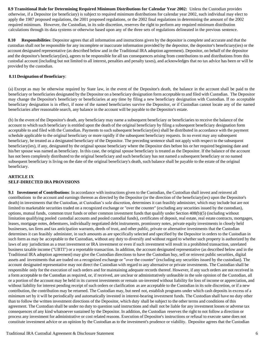**8.9 Transitional Rule for Determining Required Minimum Distributions for Calendar Year 2002:** Unless the Custodian provides otherwise, if a Depositor (or beneficiary) is subject to required minimum distributions for calendar year 2002, such individual may elect to apply the 1987 proposed regulations, the 2001 proposed regulations, or the 2002 final regulations in determining the amount of the 2002 required minimum. However, the Custodian, in its sole discretion, reserves the right to perform any required minimum distribution calculations through its data systems or otherwise based upon any of the three sets of regulations delineated in the previous sentence.

**8.10 Responsibilities**: Depositor agrees that all information and instructions given by the depositor is complete and accurate and thatthe custodian shall not be responsible for any incomplete or inaccurate information provided by the depositor, the depositor's beneficiary(ies) or the account designated representative (as described below and in the Traditional IRA adoption agreement). Depositor, on behalf of the depositor and the depositor's beneficiary(ies), agrees to be responsible for all tax consequences arising from contributions to and distributions from this custodial account (including but not limited to all interest, penalties and penalty taxes), and acknowledges that no tax advice has been or will be provided by the custodian.

### **8.11 Designation of Beneficiary:**

(a) Except as may be otherwise required by State law, in the event of the Depositor's death, the balance in the account shall be paid to the beneficiary or beneficiaries designated by the Depositor on a beneficiary designation form acceptable to and filed with Custodian. The Depositor may change the Depositor's beneficiary or beneficiaries at any time by filing a new beneficiary designation with Custodian. If no acceptable beneficiary designation is in effect, if none of the named beneficiaries survive the Depositor, or if Custodian cannot locate any of the named beneficiaries after reasonable search, any balance in the account will be payable to the Depositor's estate.

(b) In the event of the Depositor's death, any beneficiary may name a subsequent beneficiary or beneficiaries to receive the balance of the account to which such beneficiary is entitled upon the death of the original beneficiary by filing a subsequent beneficiary designation form acceptable to and filed with the Custodian. Payments to such subsequent beneficiary(ies) shall be distributed in accordance with the payment schedule applicable to the original beneficiary or more rapidly if the subsequent beneficiary requests. In no event may any subsequent beneficiary, be treated as a designated beneficiary of the Depositor. The preceding sentence shall not apply with respect to the subsequent beneficiary(ies), if any, designated by the original spouse beneficiary where the Depositor dies before his or her required beginning date and his/her spouse was named as beneficiary. In this case, the original spouse beneficiary is treated as the Depositor. If the balance of the account has not been completely distributed to the original beneficiary and such beneficiary has not named a subsequent beneficiary or no named subsequent beneficiary is living on the date of the original beneficiary's death, such balance shall be payable to the estate of the original beneficiary.

# **ARTICLE IX SELF-DIRECTED IRA PROVISIONS**

**9.1 Investment of Contributions**: In accordance with instructions given to the Custodian, the Custodian shall invest and reinvest all contributions to the account and earnings thereon as directed by the Depositor (or the direction of the beneficiary(ies) upon the Depositor's death) in investments that the Custodian, at Custodian's sole discretion, determines it can feasibly administer, which may include but are not limited to marketable securities traded on a recognized exchange or "over the counter" (excluding any securities issued by the custodian), options, mutual funds, common trust funds or other common investment funds that qualify under Section 408(b)(5) (including without limitation qualifying pooled custodial accounts and pooled custodial funds), certificates of deposit, real estate, real estate contracts, mortgages, leases, mortgage notes, debentures, individually negotiated debtinstruments, promissory notes, private equity investments in closely held businesses, tax liens and tax anticipation warrants, deeds of trust, and other public, private or alternative investments that the Custodian determines it can feasibly administer, in such amounts as are specifically selected and specified by the Depositor in orders to the Custodian in such form as may be acceptable to the Custodian, without any duty to diversify and without regard to whether such property is authorized by the laws of any jurisdiction as a trust investment or IRA investment or even if such investment will result in a prohibited transaction, unrelated business taxable income ("UBTI") or a reportable transaction. In addition, the account designated representative (as described below and in the Traditional IRA adoption agreement) may give the Custodian directions to have the Custodian buy, sell or reinvest public securities, digital assets and investments that are traded on a recognized exchange or "over the counter" (excluding any securities issued by the custodian). The account designated representative may not direct the Custodian with regard to any alternative or private investments. The Custodian shall be responsible only for the execution of such orders and for maintaining adequate records thereof. However, if any such orders are not received in a form acceptable to the Custodian as required, or, if received, are unclear or administratively unfeasible in the sole opinion of the Custodian, all or a portion of the account may be held in its current investments or remain un-invested without liability for loss of income or appreciation, and without liability for interest pending receipt of such orders or clarification as are acceptable to the Custodian in its sole discretion, or if a new contribution, the contribution may be returned. The Custodian may, but need not, establish programs under which cash deposits in excess of a minimum set by it will be periodically and automatically invested in interest-bearing investment funds. The Custodian shall have no duty other than to follow the written investment directions of the Depositor, which duty shall be subject to the other terms and conditions of this agreement. The Custodian shall be under no duty to question said instructions and shall not be liable for any investment losses or adverse tax consequences of any kind whatsoever sustained by the Depositor. In addition, the Custodian reserves the right to not follow a direction or process any investment for administrative or cost related reasons. Execution of Depositor's instructions or refusal to execute same does not constitute investment advice or an opinion by the Custodian as to the investment's prudence or viability. Depositor agrees that the Custodian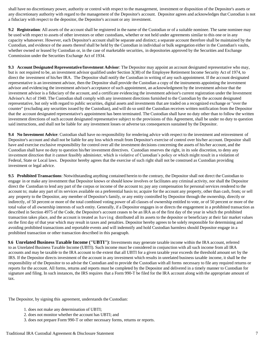shall have no discretionary power, authority or control with respect to the management, investment or disposition of the Depositor's assets or any discretionary authority with regard to the management of the Depositor's account. Depositor agrees and acknowledges that Custodian is not a fiduciary with respect to the depositor, the Depositor's account or any investment.

**9.2 Registration**: All assets of the account shall be registered in the name of the Custodian or of a suitable nominee. The same nominee may be used with respect to assets of other investors or other custodians, whether or not held under agreements similar to this one or in any capacity whatsoever. However, each Depositor's account shall be separate and distinct; a separate account therefore shall be maintained by the Custodian, and evidence of the assets thereofshall be held by the Custodian in individual or bulk segregation either in the Custodian's vaults, whether owned or leased by Custodian or, in the case of marketable securities, in depositories approved by the Securities and Exchange Commission under the Securities Exchange Act of 1934.

**9.3 Account Designated Representative/Investment Advisor**: The Depositor may appoint an account designated representative who may, but is not required to be, an investment advisor qualified underSection 3(38) of the Employee Retirement Income Security Act of 1974, to direct the investment of his/her IRA. The Depositor shall notify the Custodian in writing of any such appointment. If the account designated representative is an investment advisor, then the Depositor shall provide the Custodian a copy of the instruments appointing the investment advisor and evidencing the investment advisor's acceptance ofsuch appointment, an acknowledgment by the investment advisor that the investment advisor is a fiduciary of the account, and a certificate evidencing the investment advisor's current registration under the Investment Advisor's Act of 1940. The Custodian shall comply with any investment directions furnished to the Custodian by the account designated representative, but only with regard to public securities, digital assets and investments that are traded on a recognized exchange or "over the counter" (excluding any securities issued by the Custodian), and will do so until the Custodian receives written notification from the Depositor that the account designated representative's appointment has been terminated. The Custodian shall have no duty other than to follow the written investment directions of such account designated representative subject to the provisions of this Agreement, shall be under no duty to question said instructions, and shall not be liable for any investment losses or adverse tax consequences sustained by the Depositor.

**9.4 No Investment Advice**: Custodian shall have no responsibility for rendering advice with respect to the investment and reinvestment of Depositor's account and shall not be liable for any loss which result from Depositor's exercise of control over his/her account. Depositor shall have and exercise exclusive responsibility for control over all the investment decisions concerning the assets of his/her account, and the Custodian shall have no duty to question his/her investment directives. Custodian reserves the right, in its sole discretion, to deny any investment direction that it cannot feasibly administer, which is violative of Custodian's policy or which might result in a violation of Federal, State or Local laws. Depositor hereby agrees that the exercise of such right shall not be construed as Custodian providing investment or legal advice.

**9.5 Prohibited Transactions**: Notwithstanding anything contained herein to the contrary, the Depositor shall not direct the Custodian to engage in or make any investment that Depositor knows or should know involves or facilitates any criminal activity, nor shall the Depositor direct the Custodian to lend any part of the corpus or income of the account to; pay any compensation for personal services rendered to the account to; make any part of its services available on a preferential basis to; acquire for the account any property, other than cash, from; or sell any property to the Depositor, any member of Depositor's family, or any entity controlled by Depositor through the ownership, directly or indirectly, of 50 percent or more of the total combined voting power of all classes of ownership entitled to vote, or of 50 percent or more of the total value of all ownership interests of such entity. Generally, if a Depositor engages in or directs the engagement in a prohibited transaction as described in Section 4975 of the Code, the Depositor's account ceases to be an IRA as of the first day of the year in which the prohibited transaction takes place, and the account is treated as ha ving distributed all its assets to the depositor or beneficiary at their fair market values on the first day of that year which may result in taxes and penalties. Depositor hereby agrees to be solely responsible for determining and avoiding prohibited transactions and reportable events and will indemnify and hold Custodian harmless should Depositor engage in a prohibited transaction or other transaction described in this paragraph.

**9.6 Unrelated Business Taxable Income ("UBTI")**: Investments may generate taxable income within the IRA account, referred to as Unrelated Business Taxable Income (UBTI). Such income must be considered in conjunction with all such income from all IRA accounts and may be taxable to the IRA account to the extent that all UBTI for a given taxable year exceeds the threshold amount set by the IRS. If the Depositor directs investment of the account in any investment which results in unrelated business taxable income, it shall be the responsibility of the Depositor to so advise the Custodian and to provide the Custodian with all forms necessary to file any required returns or reports for the account. All forms, returns and reports must be completed by the Depositor and delivered in a timely manner to Custodian for signature and filing. In such instances, the IRS requires that a Form 990-T be filed for the IRA account along with the appropriate amount of tax.

The Depositor, by signing this agreement, understands the Custodian:

- 1. does not make any determination of UBTI;
- 2. does not monitor whether the account has UBTI; and
- 3. does not prepare Form 990-T or other necessary forms, returns or reports.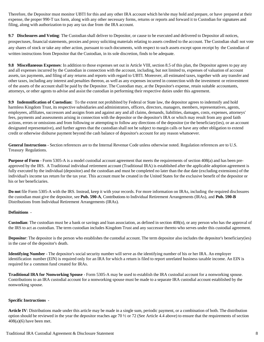Therefore, the Depositor must monitor UBTI for this and any other IRA account which he/she may hold and prepare, or have prepared at their expense, the proper 990-T tax form, along with any other necessary forms, returns or reports and forward it to Custodian for signatures and filing, along with authorization to pay any tax due from the IRA account.

**9.7 Disclosures and Voting**: The Custodian shall deliver to Depositor, or cause to be executed and delivered to Depositor all notices, prospectuses, financial statements, proxies and proxy soliciting materials relating to assets credited to the account. The Custodian shall not vote any shares of stock or take any other action, pursuant to such documents, with respect to such assets except upon receipt by the Custodian of written instructions from Depositor that the Custodian, in its sole discretion, finds to be adequate.

**9.8 Miscellaneous Expenses**: In addition to those expenses set out in Article VIII, section 8.5 of this plan, the Depositor agrees to pay any and all expenses incurred by the Custodian in connection with the account, including, but not limited to, expenses of valuation of account assets, tax payments, and filing of any returns and reports with regard to UBTI. Moreover, all estimated taxes, together with any transfer and other taxes, including any interest and penalties thereon, as well as any expenses incurred in connection with the investment or reinvestment of the assets of the account shall be paid by the Depositor. The Custodian may, at the Depositor's expense, retain suitable accountants, attorneys, or other agents to advise and assistthe custodian in performing their respective duties under this agreement.

**9.9 Indemnification of Custodian:** To the extent not prohibited by Federal or State law, the depositor agrees to indemnify and hold harmless Kingdom Trust, its respective subsidiaries and administrators, officers, directors, managers, members, representatives, agents, employees, affiliates, successors and assigns from and against any and all claims, demands, liabilities, damages, costs, expenses, attorneys' fees, payments and assessments arising in connection with the depositor or the depositor's IRA or which may result from any good faith actions, errors or omissions and from following or attempting to follow any directions of the depositor (or the beneficiary(ies), or an account designated representative), and further agrees that the custodian shall not be subject to margin calls or have any other obligation to extend credit or otherwise disburse payment beyond the cash balance of depositor's account for any reason whatsoever.

**General Instructions** - Section references are to the Internal Revenue Code unless otherwise noted. Regulation references are to U.S. Treasury Regulations.

**Purpose of Form** - Form 5305-A is a model custodial account agreement that meets the requirements of section 408(a) and has been preapproved by the IRS. A Traditional individual retirement account (Traditional IRA) is established after the applicable adoption agreement is fully executed by the individual (depositor) and the custodian and must be completed no later than the due date (excluding extensions) of the individual's income tax return for the tax year. This account must be created in the United States for the exclusive benefit of the depositor or his or her beneficiaries.

**Do not** file Form 5305-A with the IRS. Instead, keep it with your records. For more information on IRAs, including the required disclosures the custodian must give the depositor, see **Pub. 590-A**, Contributions to Individual Retirement Arrangements (lRAs), and **Pub. 590-B** Distributions from Individual Retirement Arrangements (IRAs).

### **Definitions** -

**Custodian**: The custodian must be a bank or savings and loan association, as defined in section 408(n), or any person who has the approval of the IRS to act as custodian. The term custodian includes Kingdom Trust and any successor thereto who serves under this custodial agreement.

**Depositor**: The depositor is the person who establishes the custodial account. The term depositor also includes the depositor's beneficiary(ies) in the case of the depositor's death.

**Identifying Number** - The depositor's social security number will serve as the identifying number of his or her IRA. An employer identification number (EIN) is required only for an IRA for which a return is filed to report unrelated business taxable income. An EIN is required for a common fund created for IRAs.

**Traditional IRA for Nonworking Spouse** - Form 5305-A may be used to establish the IRA custodial account for a nonworking spouse. Contributions to an IRA custodial account for a nonworking spouse must be made to a separate IRA custodial account established by the nonworking spouse.

### **Specific Instructions** -

**Article IV**: Distributions made under this article may be made in a single sum, periodic payment, or a combination of both. The distribution option should be reviewed in the year the depositor reaches age 70  $\frac{1}{2}$  or 72 (See Article 4.4 above) to ensure that the requirements of section 408(a)(6) have been met.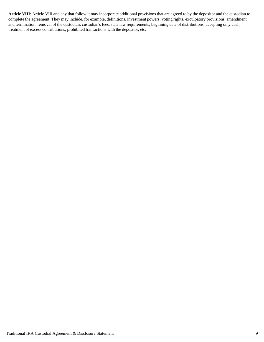**Article VIII**: Article VIII and any that follow it may incorporate additional provisions that are agreed to by the depositor and the custodian to complete the agreement. They may include, for example, definitions, investment powers, voting rights, exculpatory provisions, amendment and termination, removal of the custodian, custodian's fees, state law requirements, beginning date of distributions. accepting only cash, treatment of excess contributions, prohibited transactions with the depositor, etc.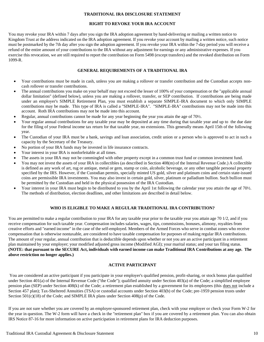# **TRADITIONAL IRA DISCLOSURE STATEMENT**

# **RIGHT TO REVOKE YOUR IRA ACCOUNT**

You may revoke your IRA within 7 days after you sign the IRA adoption agreement by hand-delivering or mailing a written notice to Kingdom Trust at the address indicated on the IRA adoption agreement. If you revoke your account by mailing a written notice, such notice must be postmarked by the 7th day after you sign the adoption agreement. If you revoke your IRA within the 7-day period you will receive a refund of the entire amount of your contributions to the IRA without any adjustment for earnings or any administrative expenses. If you exercise this revocation, we are still required to report the contribution on Form 5498 (except transfers) and the revoked distribution on Form 1099-R.

# **GENERAL REQUIREMENTS OF A TRADITIONAL IRA**

- Your contributions must be made in cash, unless you are making a rollover or transfer contribution and the Custodian accepts noncash rollover or transfer contributions.
- The annual contributions you make on your behalf may not exceed the lesser of 100% of your compensation or the "applicable annual dollar limitation" (defined below), unless you are making a rollover, transfer, or SEP contribution. If contributions are being made under an employer's SIMPLE Retirement Plan, you must establish a separate SIMPLE-IRA document to which only SIMPLE contributions may be made. This type of IRA is called a "SIMPLE-IRA". "SIMPLE-IRA" contributions may not be made into this account. Roth IRA contributions may not be made into this account.
- Regular, annual contributions cannot be made for any year beginning the year you attain the age of 70½.
- Your regular annual contributions for any taxable year may be deposited at any time during that taxable year and up to the due date for the filing of your Federal income tax return for that taxable year, no extensions. This generally means April 15th of the following year.
- The Custodian of your IRA must be a bank, savings and loan association, credit union or a person who is approved to act in such a capacity by the Secretary of the Treasury.
- No portion of your IRA funds may be invested in life insurance contracts.
- Your interest in your IRA is nonforfeitable at all times.
- The assets in your IRA may not be commingled with other property except in a common trust fund or common investment fund.
- You may not invest the assets of your IRA in collectibles (as described in Section 408(m) of the Internal Revenue Code.) A collectible is defined as any work of art, rug or antique, metal or gem, stamp or coin, alcoholic beverage, or any other tangible personal property specified by the IRS. However, if the Custodian permits, specially minted US gold, silver and platinum coins and certain state-issued coins are permissible IRA investments. You may also invest in certain gold, silver, platinum or palladium bullion. Such bullion must be permitted by the Custodian and held in the physical possession of the IRA Custodian.
- Your interest in your IRA must begin to be distributed to you by the April 1st following the calendar year you attain the age of 70½. The methods of distribution, election deadlines, and other limitations are described in detail below.

# **WHO IS ELIGIBLE TO MAKE A REGULAR TRADITIONAL IRA CONTRIBUTION?**

You are permitted to make a regular contribution to your IRA for any taxable year prior to the taxable year you attain age 70 1/2, and if you receive compensation for such taxable year. Compensation includes salaries, wages, tips, commissions, bonuses, alimony, royalties from creative efforts and "earned income" in the case of the self-employed. Members of the Armed Forces who serve in combat zones who receive compensation that is otherwise nontaxable, are considered to have taxable compensation for purposes of making regular IRA contributions. The amount of your regular, annual contribution that is deductible depends upon whether or not you are an active participant in a retirement plan maintained by your employer; your modified adjusted gross income (Modified AGI); your marital status; and your tax filing status. **(NOTE: that pursuant to the SECURE Act, individuals with earned income can make Traditional IRA Contributions at any age. The above restriction no longer applies.)**

# **ACTIVE PARTICIPANT**

You are considered an active participant if you participate in your employer's qualified pension, profit-sharing, or stock bonus plan qualified under Section 401(a) of the Internal Revenue Code ("the Code"); qualified annuity under Section 403(a) of the Code; a simplified employee pension plan (SEP) under Section 408(k) of the Code; a retirement plan established by a government for its employees (this does not include a Section 457 plan); Tax-Sheltered Annuities (TSA) or custodial accounts under Section 403(b) of the Code; pre-1959 pension trusts under Section  $501(c)(18)$  of the Code; and SIMPLE IRA plans under Section  $408(p)$  of the Code.

If you are not sure whether you are covered by an employer-sponsored retirement plan, check with your employer or check your Form W-2 for the year in question. The W-2 form will have a check in the "retirement plan" box if you are covered by a retirement plan. You can also obtain IRS Notice 87-16 for more information on active participation in retirement plans for IRA deduction purposes.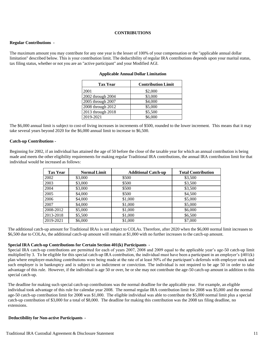#### **CONTRIBUTIONS**

#### **Regular Contributions -**

The maximum amount you may contribute for any one year is the lesser of 100% of your compensation or the "applicable annual dollar limitation" described below. This is your contribution limit. The deductibility of regular IRA contributions depends upon your marital status, tax filing status, whether or not you are an "active participant" and your Modified AGI.

| <b>Tax Year</b>   | <b>Contribution Limit</b> |
|-------------------|---------------------------|
| 2001              | \$2,000                   |
| 2002 through 2004 | \$3,000                   |
| 2005 through 2007 | \$4,000                   |
| 2008 through 2012 | \$5,000                   |
| 2013 through 2018 | \$5,500                   |
| 2019-2021         | \$6,000                   |

# **Applicable Annual Dollar Limitation**

The \$6,000 annual limit is subject to cost-of living increases in increments of \$500, rounded to the lower increment. This means that it may take several years beyond 2020 for the \$6,000 annual limit to increase to \$6,500.

#### **Catch-up Contributions -**

Beginning for 2002, if an individual has attained the age of 50 before the close of the taxable year for which an annual contribution is being made and meets the other eligibility requirements for making regular Traditional IRA contributions, the annual IRA contribution limit for that individual would be increased as follows:

| <b>Tax Year</b> | <b>Normal Limit</b> | <b>Additional Catch-up</b> | <b>Total Contribution</b> |
|-----------------|---------------------|----------------------------|---------------------------|
| 2002            | \$3,000             | \$500                      | \$3,500                   |
| 2003            | \$3,000             | \$500                      | \$3,500                   |
| 2004            | \$3,000             | \$500                      | \$3,500                   |
| 2005            | \$4,000             | \$500                      | \$4,500                   |
| 2006            | \$4,000             | \$1,000                    | \$5,000                   |
| 2007            | \$4,000             | \$1,000                    | \$5,000                   |
| 2008-2012       | \$5,000             | \$1,000                    | \$6,000                   |
| 2013-2018       | \$5,500             | \$1,000                    | \$6,500                   |
| 2019-2021       | \$6,000             | \$1,000                    | \$7,000                   |

The additional catch-up amount for Traditional IRAs is not subject to COLAs. Therefore, after 2020 when the \$6,000 normal limit increases to \$6,500 due to COLAs, the additional catch-up amount will remain at \$1,000 with no further increases to the catch-up amount.

#### **Special IRA Catch-up Contributions for Certain Section 401(k) Participants -**

Special IRA catch-up contributions are permitted for each of years 2007, 2008 and 2009 equal to the applicable year's age-50 catch-up limit multiplied by 3. To be eligible for this special catch-up IRA contribution, the individual must have been a participant in an employer's §401(k) plan where employer-matching contributions were being made at the rate of at least 50% of the participant's deferrals with employer stock and such employer is in bankruptcy and is subject to an indictment or conviction. The individual is not required to be age 50 in order to take advantage of this rule. However, if the individual is age 50 or over, he or she may not contribute the age-50 catch-up amount in addition to this special catch-up.

The deadline for making such special catch-up contributions was the normal deadline for the applicable year. For example, an eligible individual took advantage of this rule for calendar year 2008. The normal regular IRA contribution limit for 2008 was \$5,000 and the normal age-50 catch-up contribution limit for 2008 was \$1,000. The eligible individual was able to contribute the \$5,000 normal limit plus a special catch-up contribution of \$3,000 for a total of \$8,000. The deadline for making this contribution was the 2008 tax filing deadline, no extensions.

#### **Deductibility for Non-active Participants -**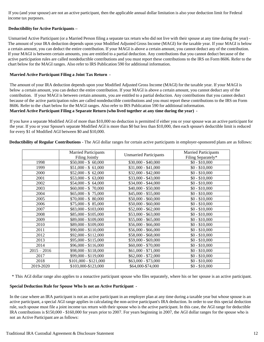If you (and your spouse) are not an active participant, then the applicable annual dollar limitation is also your deduction limit for Federal income tax purposes.

# **Deductibility for Active Participants –**

Unmarried Active Participant (or a Married Person filing a separate tax return who did not live with their spouse at any time during the year) - The amount of your IRA deduction depends upon your Modified Adjusted Gross Income (MAGI) for the taxable year. If your MAGI is below a certain amount, you can deduct the entire contribution. If your MAGI is above a certain amount, you cannot deduct any of the contribution. If your MAGI is between certain amounts, you are entitled to a partial deduction. Any contributions that you cannot deduct because of the active participation rules are called nondeductible contributions and you must report these contributions to the IRS on Form 8606. Refer to the chart below for the MAGI ranges. Also refer to IRS Publication 590 for additional information.

# **Married Active Participant Filing a Joint Tax Return -**

The amount of your IRA deduction depends upon your Modified Adjusted Gross Income (MAGI) for the taxable year. If your MAGI is below a certain amount, you can deduct the entire contribution. If your MAGI is above a certain amount, you cannot deduct any of the contribution. If your MAGI is between certain amounts, you are entitled to a partial deduction. Any contributions that you cannot deduct because of the active participation rules are called nondeductible contributions and you must report these contributions to the IRS on Form 8606. Refer to the chart below for the MAGI ranges. Also refer to IRS Publication 590 for additional information. **Married Active Participant Filing a Separate Return (who lived together at any time during the year) -**

If you have a separate Modified AGI of more than \$10,000 no deduction is permitted if either you or your spouse was an active participant for the year. If you or your Spouse's separate Modified AGI is more than \$0 but less than \$10,000, then each spouse's deductible limit is reduced for every \$1 of Modified AGI between \$0 and \$10,000.

**Deductibility of Regular Contributions** - The AGI dollar ranges for certain active participants in employer-sponsored plans are as follows:

|               | <b>Married Participants</b><br><b>Filing Jointly</b> | <b>Unmarried Participants</b> | <b>Married Participants</b><br>Filing Separately* |
|---------------|------------------------------------------------------|-------------------------------|---------------------------------------------------|
|               |                                                      |                               |                                                   |
| 1998          | $$50,000 - $60,000$                                  | \$30,000 - \$40,000           | $$0 - $10,000$                                    |
| 1999          | $$51,000 - $61,000$                                  | $$31,000 - $41,000$           | $$0 - $10,000$                                    |
| 2000          | $$52,000 - $62,000$                                  | $$32,000 - $42,000$           | $$0 - $10,000$                                    |
| 2001          | $$53,000 - $63,000$                                  | \$33,000 - \$43,000           | $$0 - $10,000$                                    |
| 2002          | $$54,000 - $64,000$                                  | $$34,000 - $44,000$           | $$0 - $10,000$                                    |
| 2003          | $$60,000 - $70,000$                                  | $$40,000 - $50,000$           | $$0 - $10,000$                                    |
| 2004          | $$65,000 - $75,000$                                  | $$45,000 - $55,000$           | $$0 - $10,000$                                    |
| 2005          | $$70,000 - $80,000$                                  | $$50,000 - $60,000$           | $$0 - $10,000$                                    |
| 2006          | $$75,000 - $85,000$                                  | $$50,000 - $60,000$           | $$0 - $10,000$                                    |
| 2007          | \$83,000 - \$103,000                                 | \$52,000 - \$62,000           | $$0 - $10,000$                                    |
| 2008          | $$85,000 - $105,000$                                 | $$53,000 - $63,000$           | $$0 - $10,000$                                    |
| 2009          | \$89,000 - \$109,000                                 | $$55,000 - $65,000$           | $$0 - $10,000$                                    |
| 2010          | \$89,000 - \$109,000                                 | $$56,000 - $66,000$           | $$0 - $10,000$                                    |
| 2011          | \$90,000 - \$110,000                                 | $$56,000 - $66,000$           | $$0 - $10,000$                                    |
| 2012          | \$92,000 - \$112,000                                 | \$58,000 - \$68,000           | $$0 - $10,000$                                    |
| 2013          | $$95,000 - $115,000$                                 | $$59,000 - $69,000$           | $$0 - $10,000$                                    |
| 2014          | $$96,000 - $116,000$                                 | $$60,000 - $70,000$           | $$0 - $10,000$                                    |
| $2015 - 2016$ | \$98,000 - \$118,000                                 | $$61,000 - $71,000$           | $$0 - $10,000$                                    |
| 2017          | \$99,000 - \$119,000                                 | $$62,000 - $72,000$           | $$0 - $10,000$                                    |
| 2018          | $$101,000 - $121,000$                                | $$63,000 - $73,000$           | $$0 - $10,000$                                    |
| 2019-2020     | \$103,000-\$123,000                                  | \$64,000-\$74,000             | $$0 - $10,000$                                    |

\* This AGI dollar range also applies to a nonactive participant spouse who files separately, where his or her spouse is an active participant.

### **Special Deduction Rule for Spouse Who Is not an Active Participant -**

In the case where an IRA participant is not an active participant in an employer plan at any time during a taxable year but whose spouse is an active participant, a special AGI range applies in calculating the non-active participant's IRA deduction. In order to use this special deduction rule, such spouse must file a joint income tax return with their spouse who is the active participant. In this case, the AGI range for deductible IRA contributions is \$150,000 - \$160,000 for years prior to 2007. For years beginning in 2007, the AGI dollar ranges for the spouse who is not an Active Participant are as follows: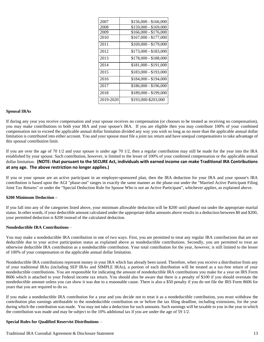| 2007      | \$156,000 - \$166,000 |
|-----------|-----------------------|
| 2008      | \$159,000 - \$169,000 |
| 2009      | \$166,000 - \$176,000 |
| 2010      | \$167,000 - \$177,000 |
| 2011      | \$169,000 - \$179,000 |
| 2012      | \$173,000 - \$183,000 |
| 2013      | \$178,000 - \$188,000 |
| 2014      | \$181,000 - \$191,000 |
| 2015      | \$183,000 - \$193,000 |
| 2016      | \$184,000 - \$194,000 |
| 2017      | \$186,000 - \$196,000 |
| 2018      | \$189,000 - \$199,000 |
| 2019-2020 | \$193,000-\$203,000   |

### **Spousal IRAs**

If during any year you receive compensation and your spouse receives no compensation (or chooses to be treated as receiving no compensation), you may make contributions to both your IRA and your spouse's IRA. If you are eligible then you may contribute 100% of your combined compensation not to exceed the applicable annual dollar limitation divided any way you wish so long as no more than the applicable annual dollar limitation is contributed into either account. You and your spouse must file a joint tax return and have unequal compensations to take advantage of this spousal contribution limit.

If you are over the age of 70 1/2 and your spouse is under age 70 1/2, then a regular contribution may still be made for the year into the IRA established by your spouse. Such contribution, however, is limited to the lesser of 100% of your combined compensation or the applicable annual dollar limitation. **(NOTE: that pursuant to the SECURE Act, individuals with earned income can make Traditional IRA Contributions at any age. The above restriction no longer applies.)**

If you or your spouse are an active participant in an employer-sponsored plan, then the IRA deduction for your IRA and your spouse's IRA contribution is based upon the AGI "phase-out" ranges in exactly the same manner as the phase-out under the "Married Active Participant Filing Joint Tax Returns" or under the "Special Deduction Rule for Spouse Who is not an Active Participant", whichever applies, as explained above.

#### **\$200 Minimum Deduction –**

If you fall into any of the categories listed above, your minimum allowable deduction will be \$200 until phased out under the appropriate marital status. In other words, if your deductible amount calculated under the appropriate dollar amounts above results in a deduction between \$0 and \$200, your permitted deduction is \$200 instead of the calculated deduction.

#### **Nondeductible IRA Contributions** –

You may make a nondeductible IRA contribution in one of two ways. First, you are permitted to treat any regular IRA contributions that are not deductible due to your active participation status as explained above as nondeductible contributions. Secondly, you are permitted to treat an otherwise deductible IRA contribution as a nondeductible contribution. Your total contribution for the year, however, is still limited to the lesser of 100% of your compensation or the applicable annual dollar limitation.

Nondeductible IRA contributions represent money in your IRA which has already been taxed. Therefore, when you receive a distribution from any of your traditional IRAs (including SEP IRAs and SIMPLE IRAs), a portion of each distribution will be treated as a tax-free return of your nondeductible contributions. You are responsible for indicating the amount of nondeductible IRA contributions you make for a year on IRS Form 8606 which is attached to your Federal income tax return. You should also be aware that there is a penalty of \$100 if you should overstate the nondeductible amount unless you can show it was due to a reasonable cause. There is also a \$50 penalty if you do not file the IRS Form 8606 for years that you are required to do so.

If you make a nondeductible IRA contribution for a year and you decide not to treat it as a nondeductible contribution, you must withdraw the contribution plus earnings attributable to the nondeductible contribution on or before the tax filing deadline, including extensions, for the year during which the contribution was made. You may not take a deduction for such amounts. Such earnings will be taxable to you in the year in which the contribution was made and may be subject to the 10% additional tax if you are under the age of 59 1/2.

#### **Special Rules for Qualified Reservist Distributions** –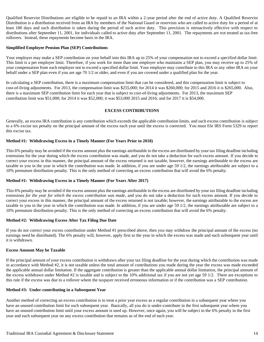Qualified Reservist Distributions are eligible to be repaid to an IRA within a 2-year period after the end of active duty. A Qualified Reservist Distribution is a distribution received from an IRA by members of the National Guard or reservists who are called to active duty for a period of at least 180 days and such distribution is taken during the period of such active duty. This provision is retroactively effective with respect to distributions after September 11, 2001, for individuals called to active duty after September 11, 2001. The repayments are not treated as tax-free rollovers. Instead, these repayments become basis in the IRA.

#### **Simplified Employee Pension Plan (SEP) Contributions**

Your employer may make a SEP contribution on your behalf into this IRA up to 25% of your compensation not to exceed a specified dollar limit. This limit is a per employer limit. Therefore, if you work for more than one employer who maintains a SEP plan, you may receive up to 25% of your compensation from each employer not to exceed a specified dollar limit. Your employer may contribute to this IRA or any other IRA on your behalf under a SEP plan even if you are age 70 1/2 or older, and even if you are covered under a qualified plan for the year.

In calculating a SEP contribution, there is a maximum compensation limit that can be considered, and this compensation limit is subject to cost-of-living adjustments. For 2013, the compensation limit was \$255,000; for 2014 it was \$260,000; for 2015 and 2016 it is \$265,000. Also, there is a maximum SEP contribution limit for each year that is subject to cost-of-living adjustments. For 2013, the maximum SEP contribution limit was \$51,000; for 2014 it was \$52,000; it was \$53,000 2015 and 2016; and for 2017 it is \$54,000.

# **EXCESS CONTRIBUTIONS**

Generally, an excess IRA contribution is any contribution which exceeds the applicable contribution limits, and such excess contribution is subject to a 6% excise tax penalty on the principal amount of the excess each year until the excess is corrected. You must file IRS Form 5329 to report this excise tax.

#### **Method #1: Withdrawing Excess in a Timely Manner (For Years Prior to 2018)**

This 6% penalty may be avoided if the excess amount plus the earnings attributable to the excess are distributed by your tax filing deadline including extensions for the year during which the excess contribution was made, and you do not take a deduction for such excess amount. If you decide to correct your excess in this manner, the principal amount of the excess returned is not taxable, however, the earnings attributable to the excess are taxable to you in the year in which the contribution was made. In addition, if you are under age 59 1/2, the earnings attributable are subject to a 10% premature distribution penalty. This is the only method of correcting an excess contribution that will avoid the 6% penalty.

### **Method #1: Withdrawing Excess in a Timely Manner (For Years After 2017)**

This 6% penalty may be avoided if the excess amount plus the earnings attributable to the excess are distributed by your tax filing deadline including extensions *for the year for which the excess contribution was made*, and you do not take a deduction for such excess amount. If you decide to correct your excess in this manner, the principal amount of the excess returned is not taxable; however, the earnings attributable to the excess are taxable to you in the year in which the contribution was made. In addition, if you are under age 59 1/2, the earnings attributable are subject to a 10% premature distribution penalty. This is the only method of correcting an excess contribution that will avoid the 6% penalty.

#### **Method #2: Withdrawing Excess After Tax Filing Due Date**

If you do not correct your excess contribution under Method #1 prescribed above, then you may withdraw the principal amount of the excess (no earnings need be distributed). The 6% penalty will, however, apply first to the year in which the excess was made and each subsequent year until it is withdrawn.

#### **Excess Amount May be Taxable**

If the principal amount of your excess contribution is withdrawn after your tax filing deadline for the year during which the contribution was made in accordance with Method #2, it is not taxable unless the total amount of contributions you made during the year the excess was made exceeded the applicable annual dollar limitation. If the aggregate contribution is greater than the applicable annual dollar limitation, the principal amount of the excess withdrawn under Method #2 is taxable and is subject to the 10% additional tax if you are not yet age 59 1/2. There are exceptions to this rule if the excess was due to a rollover where the taxpayer received erroneous information or if the contribution was a SEP contribution.

#### **Method #3: Under-contributing in a Subsequent Year**

Another method of correcting an excess contribution is to treat a prior year excess as a regular contribution in a subsequent year where you have an unused contribution limit for such subsequent year. Basically, all you do is under-contribute in the first subsequent year where you have an unused contribution limit until your excess amount is used up. However, once again, you will be subject to the 6% penalty in the first year and each subsequent year on any excess contribution that remains as of the end of each year.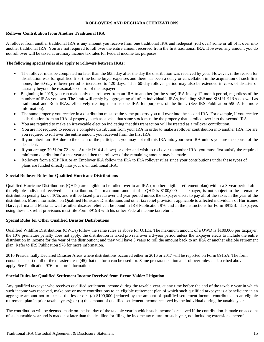#### **ROLLOVERS AND RECHARACTERIZATIONS**

#### **Rollover Contribution from Another Traditional IRA**

A rollover from another traditional IRA is any amount you receive from one traditional IRA and redeposit (roll over) some or all of it over into another traditional IRA. You are not required to roll over the entire amount received from the first traditional IRA. However, any amount you do not roll over will be taxed at ordinary income tax rates for Federal income tax purposes.

#### **The following special rules also apply to rollovers between IRAs:**

- The rollover must be completed no later than the 60th day after the day the distribution was received by you. However, if the reason for distribution was for qualified first-time home buyer expenses and there has been a delay or cancellation in the acquisition of such first home, the 60-day rollover period is increased to 120 days. This 60-day rollover period may also be extended in cases of disaster or casualty beyond the reasonable control of the taxpayer.
- Beginning in 2015, you can make only one rollover from an IRA to another (or the same) IRA in any 12-month period, regardless of the number of IRAs you own. The limit will apply by aggregating all of an individual's IRAs, including SEP and SIMPLE IRAs as well as traditional and Roth IRAs, effectively treating them as one IRA for purposes of the limit. (See IRS Publication 590-A for more information).
- The same property you receive in a distribution must be the same property you roll over into the second IRA. For example, if you receive a distribution from an IRA of property, such as stocks, that same stock must be the property that is rolled over into the second IRA.
- You are required to make an irrevocable election indicating that this transaction will be treated as a rollover contribution.
- You are not required to receive a complete distribution from your IRA in order to make a rollover contribution into another IRA, nor are you required to roll over the entire amount you received from the first IRA.
- If you inherit an IRA due to the death of the participant, you may not roll this IRA into your own IRA unless you are the spouse of the decedent.
- If you are age 70  $\frac{1}{2}$  (or 72 see Article IV 4.4 above) or older and wish to roll over to another IRA, you must first satisfy the required minimum distribution for that year and then the rollover of the remaining amount may be made.
- Rollovers from a SEP IRA or an Employer IRA follow the IRA to IRA rollover rules since your contributions under these types of plans are funded directly into your own traditional IRA.

### **Special Rollover Rules for Qualified Hurricane Distributions**

Qualified Hurricane Distributions (QHDs) are eligible to be rolled over to an IRA (or other eligible retirement plan) within a 3-year period after the eligible individual received such distribution. The maximum amount of a QHD is \$100,000 per taxpayer; is not subject to the premature distribution penalty tax of 10%, and will be taxed pro rata over a 3 year period unless the taxpayer elects to pay all of the taxes in the year of the distribution. More information on Qualified Hurricane Distributions and other tax relief provisions applicable to affected individuals of Hurricanes Harvey, Irma and Maria as well as other disaster relief can be found in IRS Publication 976 and in the instructions for Form 8915B. Taxpayers using these tax relief provisions must file Form 8915B with his or her Federal income tax return.

#### **Special Rules for Other Qualified Disaster Distributions**

Qualified Wildfire Distributions (QWDs) follow the same rules as above for QHDs. The maximum amount of a QWD is \$100,000 per taxpayer, the 10% premature penalty does not apply; the distribution is taxed pro rata over a 3-year period unless the taxpayer elects to include the entire distribution in income for the year of the distribution; and they will have 3 years to roll the amount back to an IRA or another eligible retirement plan. Refer to IRS Publication 976 for more information.

2016 Presidentially Declared Disaster Areas where distributions occurred either in 2016 or 2017 will be reported on Form 8915A. The form contains a chart of all of the disaster areas (45) that the form can be used for. Same pro rata taxation and rollover rules as described above apply. See Publication 976 for more information

#### **Special Rules for Qualified Settlement Income Received from Exxon Valdez Litigation**

Any qualified taxpayer who receives qualified settlement income during the taxable year, at any time before the end of the taxable year in which such income was received, make one or more contributions to an eligible retirement plan of which such qualified taxpayer is a beneficiary in an aggregate amount not to exceed the lesser of: (a) \$100,000 (reduced by the amount of qualified settlement income contributed to an eligible retirement plan in prior taxable years); or (b) the amount of qualified settlement income received by the individual during the taxable year.

The contribution will be deemed made on the last day of the taxable year in which such income is received if the contribution is made on account of such taxable year and is made not later than the deadline for filing the income tax return for such year, not including extensions thereof.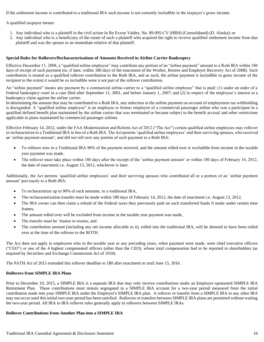If the settlement income is contributed to a traditional IRA such income is not currently includible in the taxpayer's gross income.

A qualified taxpayer means:

- 1. Any individual who is a plaintiff in the civil action In Re Exxon Valdez, No. 89-095-CV (HRH) (Consolidated) (D. Alaska); or
- 2. Any individual who is a beneficiary of the estate of such a plaintiff who acquired the right to receive qualified settlement income from that plaintiff and was the spouse or an immediate relative of that plaintiff.

# **Special Rules for Rollovers/Recharacterizations of Amounts Received in Airline Carrier Bankruptcy**

Effective December 11, 2008, a "qualified airline employee" may contribute any portion of an "airline payment" amount to a Roth IRA within 180 days of receipt of such payment (or, if later, within 180 days of the enactment of the Worker, Retiree and Employer Recovery Act of 2008). Such contribution is treated as a qualified rollover contribution to the Roth IRA, and as such, the airline payment is includible in gross income of the recipient to the extent it would be so includible were it not part of the rollover contribution.

An "airline payment" means any payment by a commercial airline carrier to a "qualified airline employee" that is paid: (1) under an order of a Federal bankruptcy court in a case filed after September 11, 2001, and before January 1, 2007; and (2) in respect of the employee's interest in a bankruptcy claim against the airline carrier.

In determining the amount that may be contributed to a Roth IRA, any reduction in the airline payment on account of employment tax withholding is disregarded. A "qualified airline employee" is an employee or former employee of a commercial passenger airline who was a participant in a qualified defined benefit plan maintained by the airline carrier that was terminated or became subject to the benefit accrual and other restrictions applicable to plans maintained by commercial passenger airlines.

Effective February 14, 2012, under the FAA Modernization and Reform Act of 2012 ("The Act") certain qualified airline employees may rollover or recharacterize to a Traditional IRA in lieu of a Roth IRA. The Act permits 'qualified airline employees' and their surviving spouses, who received an 'airline payment amount', and did *not* roll over any portion of such payment to a Roth IRA:

- To rollover now to a Traditional IRA 90% of the payment received, and the amount rolled over is excludible from income in the taxable year payment was made.
- The rollover must take place within 180 days after the receipt of the 'airline payment amount' or within 180 days of February 14, 2012, the date of enactment i.e. August 13, 2012, whichever is later.

Additionally, the Act permits 'qualified airline employees' and their surviving spouses who contributed all or a portion of an 'airline payment amount' previously to a Roth IRA:

- To recharacterize up to 90% of such amounts, to a traditional IRA,
- The recharacterization transfer must be made within 180 days of February 14, 2012, the date of enactment i.e. August 13, 2012,
- The IRA owner can then claim a refund of the Federal taxes they previously paid on such transferred funds if made under certain time frames,
- The amount rolled over will be excluded from income in the taxable year payment was made,
- The transfer must be 'trustee to trustee, and
- The contribution amount (including any net income allocable to it), rolled into the traditional IRA, will be deemed to have been rolled over at the time of the rollover to the ROTH.

The Act does *not* apply to employees who in the taxable year or any preceding years, when payment were made, were chief executive officers ("CEO") or one of the 4 highest compensated officers (other than the CEO), whose total compensation had to be reported to shareholders (as required by Securities and Exchange Commission Act of 1934).

The PATH Act of 2015 extended this rollover deadline to 180 after enactment or until June 15, 2016.

# **Rollovers from SIMPLE IRA Plans**

Prior to December 19, 2015, a SIMPLE IRA is a separate IRA that may only receive contributions under an Employer-sponsored SIMPLE IRA Retirement Plan. These contributions must remain segregated in a SIMPLE IRA account for a two-year period measured from the initial contribution made into your SIMPLE IRA under the Employer's SIMPLE IRA plan. A rollover or transfer from a SIMPLE IRA to any other IRA may not occur until this initial two-year period has been satisfied. Rollovers or transfers between SIMPLE IRA plans are permitted without waiting the two-year period. All IRA to IRA rollover rules generally apply to rollovers between SIMPLE IRAs.

## **Rollover Contributions from Another Plan into a SIMPLE IRA**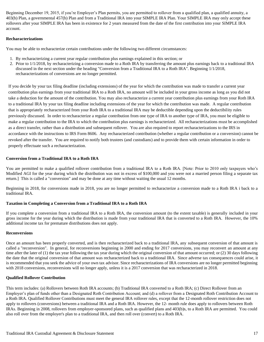Beginning December 19, 2015, if you're Employer's Plan permits, you are permitted to rollover from a qualified plan, a qualified annuity, a 403(b) Plan, a governmental 457(b) Plan and from a Traditional IRA into your SIMPLE IRA Plan. Your SIMPLE IRA may only accept these rollovers after your SIMPLE IRA has been in existence for 2 years measured from the date of the first contribution into your SIMPLE IRA account.

#### **Recharacterizations**

You may be able to recharacterize certain contributions under the following two different circumstances:

- 1. By recharacterizing a current year regular contribution plus earnings explained in this section; or
- 2. Prior to 1/1/2018, by recharacterizing a conversion made to a Roth IRA by transferring the amount plus earnings back to a traditional IRA discussed in the next section under the heading "Conversion from a Traditional IRA to a Roth IRA". Beginning 1/1/2018, recharacterizations of conversions are no longer permitted.

If you decide by your tax filing deadline (including extensions) of the year for which the contribution was made to transfer a current year contribution plus earnings from your traditional IRA to a Roth IRA, no amount will be included in your gross income as long as you did not take a deduction for the amount of the contribution. You may also recharacterize a current year contribution plus earnings from your Roth IRA to a traditional IRA by your tax filing deadline including extensions of the year for which the contribution was made. A regular contribution that is appropriately recharacterized from your Roth IRA to a traditional IRA may be deductible depending upon the deductibility rules previously discussed. In order to recharacterize a regular contribution from one type of IRA to another type of IRA, you must be eligible to make a regular contribution to the IRA to which the contribution plus earnings is recharacterized. All recharacterizations must be accomplished as a direct transfer, rather than a distribution and subsequent rollover. You are also required to report recharacterizations to the IRS in accordance with the instructions to IRS Form 8606. Any recharacterized contribution (whether a regular contribution or a conversion) cannot be revoked after the transfer. You are required to notify both trustees (and custodians) and to provide them with certain information in order to properly effectuate such a recharacterization.

### **Conversion from a Traditional IRA to a Roth IRA**

You are permitted to make a qualified rollover contribution from a traditional IRA to a Roth IRA. [Note: Prior to 2010 only taxpayers who's Modified AGI for the year during which the distribution was not in excess of \$100,000 and you were not a married person filing a separate tax return.] This is called a "conversion" and may be done at any time without waiting the usual 12 months.

Beginning in 2018, for conversions made in 2018, you are no longer permitted to recharacterize a conversion made to a Roth IRA i back to a traditional IRA.

### **Taxation in Completing a Conversion from a Traditional IRA to a Roth IRA**

If you complete a conversion from a traditional IRA to a Roth IRA, the conversion amount (to the extent taxable) is generally included in your gross income for the year during which the distribution is made from your traditional IRA that is converted to a Roth IRA. However, the 10% additional income tax for premature distributions does not apply.

### **Reconversions**

Once an amount has been properly converted, and is then recharacterized back to a traditional IRA, any subsequent conversion of that amount is called a "reconversion". In general, for reconversions beginning in 2000 and ending for 2017 conversions, you may reconvert an amount at any time after the later of (1) the tax year following the tax year during which the original conversion of that amount occurred; or (2) 30 days following the date that the original conversion of that amount was recharacterized back to a traditional IRA. Since adverse tax consequences could arise, it is recommended that you seek the advice of your own tax advisor. Since recharacterizations of IRA conversions are no longer permitted beginning with 2018 conversions, reconversions will no longer apply, unless it is a 2017 conversion that was recharacterized in 2018.

### **Qualified Rollover Contribution**

This term includes: (a) Rollovers between Roth IRA accounts; (b) Traditional IRA converted to a Roth IRA; (c) Direct Rollover from an Employer's plan of funds other than a Designated Roth Contribution Account; and (d) a rollover from a Designated Roth Contribution Account to a Roth IRA. Qualified Rollover Contributions must meet the general IRA rollover rules, except that the 12-month rollover restriction does not apply to rollovers (conversions) between a traditional IRA and a Roth IRA. However, the 12- month rule does apply to rollovers between Roth IRAs. Beginning in 2008, rollovers from employer-sponsored plans, such as qualified plans and 403(b)s, to a Roth IRA are permitted. You could also roll over from the employer's plan to a traditional IRA, and then roll over (convert) to a Roth IRA.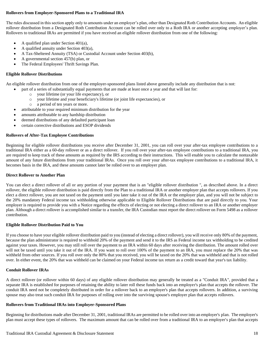# **Rollovers from Employer-Sponsored Plans to a Traditional IRA**

The rules discussed in this section apply only to amounts under an employer's plan, other than Designated Roth Contribution Accounts. An eligible rollover distribution from a Designated Roth Contribution Account can be rolled over only to a Roth IRA or another accepting employer's plan. Rollovers to traditional IRAs are permitted if you have received an eligible rollover distribution from one of the following:

- A qualified plan under Section 401(a),
- A qualified annuity under Section 403(a),
- A Tax-Sheltered Annuity (TSA) or Custodial Account under Section 403(b),
- A governmental section 457(b) plan, or
- The Federal Employees' Thrift Savings Plan.

# **Eligible Rollover Distributions**

An eligible rollover distribution from one of the employer-sponsored plans listed above generally include any distribution that is not:

- part of a series of substantially equal payments that are made at least once a year and that will last for:
	- o your lifetime (or your life expectancy), or
	- o your lifetime and your beneficiary's lifetime (or joint life expectancies), or
	- o a period of ten years or more.
- attributable to your required minimum distribution for the year
- amounts attributable to any hardship distribution
- deemed distributions of any defaulted participant loan
- certain corrective distributions and ESOP dividends

#### **Rollovers of After-Tax Employee Contributions**

Beginning for eligible rollover distributions you receive after December 31, 2001, you can roll over your after-tax employee contributions to a traditional IRA either as a 60-day rollover or as a direct rollover. If you roll over your after-tax employee contributions to a traditional IRA, you are required to keep track of these amounts as required by the IRS according to their instructions. This will enable you to calculate the nontaxable amount of any future distributions from your traditional IRAs. Once you roll over your after-tax employee contributions to a traditional IRA, it becomes basis in the IRA, and these amounts cannot later be rolled over to an employer plan.

#### **Direct Rollover to Another Plan**

You can elect a direct rollover of all or any portion of your payment that is an "eligible rollover distribution ", as described above. In a direct rollover, the eligible rollover distribution is paid directly from the Plan to a traditional IRA or another employer plan that accepts rollovers. If you elect a direct rollover, you are not taxed on the payment until you later take it out of the IRA or the employer plan, and you will not be subject to the 20% mandatory Federal income tax withholding otherwise applicable to Eligible Rollover Distributions that are paid directly to you. Your employer is required to provide you with a Notice regarding the effects of electing or not electing a direct rollover to an IRA or another employer plan. Although a direct rollover is accomplished similar to a transfer, the IRA Custodian must report the direct rollover on Form 5498 as a rollover contribution.

### **Eligible Rollover Distribution Paid to You**

If you choose to have your eligible rollover distribution paid to you (instead of electing a direct rollover), you will receive only 80% of the payment, because the plan administrator is required to withhold 20% of the payment and send it to the IRS as Federal income tax withholding to be credited against your taxes. However, you may still roll over the payment to an IRA within 60 days after receiving the distribution. The amount rolled over will not be taxed until you take it out of the IRA. If you want to roll over 100% of the payment to an IRA, you must replace the 20% that was withheld from other sources. If you roll over only the 80% that you received, you will be taxed on the 20% that was withheld and that is not rolled over. In either event, the 20% that was withheld can be claimed on your Federal income tax return as a credit toward that year's tax liability.

### **Conduit Rollover IRAs**

A direct rollover (or rollover within 60 days) of any eligible rollover distribution may generally be treated as a "Conduit IRA", provided that a separate IRA is established for purposes of retaining the ability to later roll these funds back into an employer's plan that accepts the rollover. The conduit IRA need not be completely distributed in order for a rollover back to an employer's plan that accepts rollovers. In addition, a surviving spouse may also treat such conduit IRA for purposes of rolling over into the surviving spouse's employer plan that accepts rollovers.

#### **Rollovers from Traditional IRAs into Employer-Sponsored Plans**

Beginning for distributions made after December 31, 2001, traditional IRAs are permitted to be rolled over into an employer's plan. The employer's plan must accept these types of rollovers. The maximum amount that can be rolled over from a traditional IRA to an employer's plan that accepts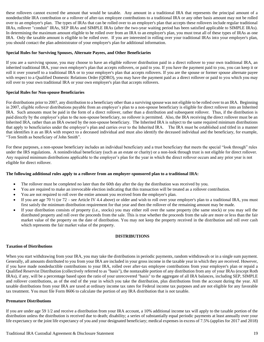these rollovers cannot exceed the amount that would be taxable. Any amount in a traditional IRA that represents the principal amount of a nondeductible IRA contribution or a rollover of after-tax employee contributions to a traditional IRA or any other basis amount may not be rolled over to an employer's plan. The types of IRAs that can be rolled over to an employer's plan that accepts these rollovers include regular traditional IRAs, rollover "conduit" IRAs, SEP IRAs and SIMPLE IRAs (after the two-year waiting period has been satisfied applicable to SIMPLE IRAs). In determining the maximum amount eligible to be rolled over from an IRA to an employer's plan, you must treat all of these types of IRAs as one IRA. Only the taxable amount is eligible to be rolled over. If you are interested in rolling over your traditional IRAs into your employer's plan, you should contact the plan administrator of your employer's plan for additional information.

#### **Special Rules for Surviving Spouses, Alternate Payees, and Other Beneficiaries**

If you are a surviving spouse, you may choose to have an eligible rollover distribution paid in a direct rollover to your own traditional IRA, an inherited traditional IRA, your own employer's plan that accepts rollovers, or paid to you. If you have the payment paid to you, you can keep it or roll it over yourself to a traditional IRA or to your employer's plan that accepts rollovers. If you are the spouse or former spouse alternate payee with respect to a Qualified Domestic Relations Order (QDRO), you may have the payment paid as a direct rollover or paid to you which you may roll over to your own traditional IRA or your own employer's plan that accepts rollovers.

#### **Special Rules for Non-spouse Beneficiaries**

For distributions prior to 2007, any distribution to a beneficiary other than a surviving spouse was not eligible to be rolled over to an IRA. Beginning in 2007, eligible rollover distributions payable from an employer's plan to a non-spouse beneficiary is eligible for direct rollover into an Inherited IRA. Such amounts must be paid in the form of a direct rollover, rather than a distribution and subsequent rollover. Thus, if the distribution is paid directly by the employer's plan to the non-spouse beneficiary, no rollover is permitted. Also, the IRA receiving the direct rollover must be an Inherited IRA, rather than an IRA owned by the non-spouse beneficiary. The Inherited IRA is subject to the same required minimum distributions that apply to beneficiaries under the employer's plan and carries over to the Inherited IRA. The IRA must be established and titled in a manner that identifies it as an IRA with respect to a deceased individual and must also identify the deceased individual and the beneficiary, for example, "Tom Smith as beneficiary of John Smith".

For these purposes, a non-spouse beneficiary includes an individual beneficiary and a trust beneficiary that meets the special "look through" rules under the IRS regulations. A nonindividual beneficiary (such as an estate or charity) or a non-look through trust is not eligible for direct rollover. Any required minimum distributions applicable to the employer's plan for the year in which the direct rollover occurs and any prior year is not eligible for direct rollover.

### **The following additional rules apply to a rollover from an employer-sponsored plan to a traditional IRA:**

- The rollover must be completed no later than the 60th day after the day the distribution was received by you.
- You are required to make an irrevocable election indicating that this transaction will be treated as a rollover contribution.
- You are not required to roll over the entire amount you received from the employer's plan.
- If you are age 70  $\frac{1}{2}$  (or 72 see Article IV 4.4 above) or older and wish to roll over your employer's plan to a traditional IRA, you must first satisfy the minimum distribution requirement for that year and then the rollover of the remaining amount may be made.
- If your distribution consists of property (i.e., stocks) you may either roll over the same property (the same stock) or you may sell the distributed property and roll over the proceeds from the sale. This is true whether the proceeds from the sale are more or less than the fair market value of the property on the date of distribution. You may not keep the property received in the distribution and roll over cash which represents the fair market value of the property.

### **DISTRIBUTIONS**

#### **Taxation of Distributions**

When you start withdrawing from your IRA, you may take the distributions in periodic payments, random withdrawals or in a single sum payment. Generally, all amounts distributed to you from your IRA are included in your gross income in the taxable year in which they are received. However, if you have made nondeductible contributions to your IRA, rolled over after-tax employee contributions from your employer's plan or repaid a Qualified Reservist Distribution (collectively referred to as "basis"), the nontaxable portion of any distribution from any of your IRAs (except Roth IRAs), if any, will be a percentage based upon the ratio of your unrecovered "basis" to the aggregate of all IRA balances, including SEP, SIMPLE and rollover contributions, as of the end of the year in which you take the distribution, plus distributions from the account during the year. All taxable distributions from your IRA are taxed at ordinary income tax rates for Federal income tax purposes and are not eligible for any favorable tax treatment. You must file Form 8606 to calculate the portion of any IRA distribution that is not taxable.

#### **Premature Distributions**

If you are under age 59 1/2 and receive a distribution from your IRA account, a 10% additional income tax will apply to the taxable portion of the distribution unless the distribution is received due to death; disability; a series of substantially equal periodic payments at least annually over your life expectancy or the joint life expectancy of you and your designated beneficiary; medical expenses in excess of 7.5% (applies for 2017 and 2018)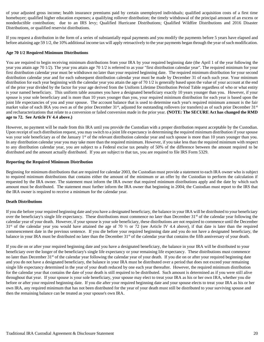of your adjusted gross income; health insurance premiums paid by certain unemployed individuals; qualified acquisition costs of a first time homebuyer; qualified higher education expenses; a qualifying rollover distribution; the timely withdrawal of the principal amount of an excess or nondeductible contribution; due to an IRS levy; Qualified Hurricane Distributions; Qualified Wildfire Distributions and 2016 Disaster Distributions, or qualified reservist distributions.

If you request a distribution in the form of a series of substantially equal payments and you modify the payments before 5 years have elapsed and before attaining age 59 1/2, the 10% additional income tax will apply retroactively to the year payments began through the year of such modification.

#### **Age 70 1/2 Required Minimum Distributions**

You are required to begin receiving minimum distributions from your IRA by your required beginning date (the April 1 of the year following the year you attain age 70 1/2). The year you attain age 70 1/2 is referred to as your "first distribution calendar year". The required minimum for your first distribution calendar year must be withdrawn no later than your required beginning date. The required minimum distribution for your second distribution calendar year and for each subsequent distribution calendar year must be made by December 31 of each such year. Your minimum distribution for each year beginning with the calendar year you attain the age of 70 1/2 is generally based upon the value of your account at the end of the prior year divided by the factor for your age derived from the Uniform Lifetime Distribution Period Table regardless of who or what entity is your named beneficiary. This uniform table assumes you have a designated beneficiary exactly 10 years younger than you. However, if your spouse is your sole beneficiary and is more than 10 years younger than you, your required minimum distribution for each year is based upon the joint life expectancies of you and your spouse. The account balance that is used to determine each year's required minimum amount is the fair market value of each IRA you own as of the prior December  $31<sup>st</sup>$ , adjusted for outstanding rollovers (or transfers) as of such prior December  $31<sup>st</sup>$ and recharacterizations that relate to a conversion or failed conversion made in the prior year. **(NOTE: The SECURE Act has changed the RMD age to 72. See Article IV 4.4 above.)**

However, no payment will be made from this IRA until you provide the Custodian with a proper distribution request acceptable by the Custodian. Upon receipt of such distribution request, you may switch to a joint life expectancy in determining the required minimum distribution if your spouse was your sole beneficiary as of the January 1<sup>st</sup> of the relevant distribution calendar year and such spouse is more than 10 years younger than you. In any distribution calendar year you may take more than the required minimum. However, if you take less than the required minimum with respect to any distribution calendar year, you are subject to a Federal excise tax penalty of 50% of the difference between the amount required to be distributed and the amount actually distributed. If you are subject to that tax, you are required to file IRS Form 5329.

#### **Reporting the Required Minimum Distribution**

Beginning for minimum distributions that are required for calendar 2003, the Custodian must provide a statement to each IRA owner who is subject to required minimum distributions that contains either the amount of the minimum or an offer by the Custodian to perform the calculation if requested by the IRA owner. The statement must inform the IRA owner that required minimum distributions apply and the date by which such amount must be distributed. The statement must further inform the IRA owner that beginning in 2004; the Custodian must report to the IRS that the IRA owner is required to receive a minimum for the calendar year.

### **Death Distributions**

If you die before your required beginning date and you have a designated beneficiary, the balance in your IRA will be distributed to your beneficiary over the beneficiary's single life expectancy. These distributions must commence no later than December 31<sup>st</sup> of the calendar year following the calendar year of your death. However, if your spouse is your sole beneficiary, these distributions are not required to commence until the December  $31<sup>st</sup>$  of the calendar year you would have attained the age of 70  $\frac{1}{2}$  or 72 (see Article IV 4.4 above), if that date is later than the required commencement date in the previous sentence. If you die before your required beginning date and you do not have a designated beneficiary, the balance in your IRA must be distributed no later than the December 31<sup>st</sup> of the calendar year that contains the fifth anniversary of your death.

If you die on or after your required beginning date and you have a designated beneficiary, the balance in your IRA will be distributed to your beneficiary over the longer of the beneficiary's single life expectancy or your remaining life expectancy. These distributions must commence no later than December 31<sup>st</sup> of the calendar year following the calendar year of your death. If you die on or after your required beginning date and you do not have a designated beneficiary, the balance in your IRA must be distributed over a period that does not exceed your remaining single life expectancy determined in the year of your death reduced by one each year thereafter. However, the required minimum distribution for the calendar year that contains the date of your death is still required to be distributed. Such amount is determined as if you were still alive throughout that year. If your spouse is your sole beneficiary, your spouse may elect to treat your IRA as his or her own IRA, whether you die before or after your required beginning date. If you die after your required beginning date and your spouse elects to treat your IRA as his or her own IRA, any required minimum that has not been distributed for the year of your death must still be distributed to your surviving spouse and then the remaining balance can be treated as your spouse's own IRA.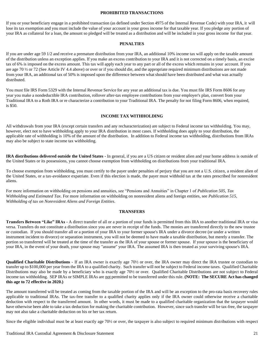#### **PROHIBITED TRANSACTIONS**

If you or your beneficiary engage in a prohibited transaction (as defined under Section 4975 of the Internal Revenue Code) with your IRA, it will lose its tax exemption and you must include the value of your account in your gross income for that taxable year. If you pledge any portion of your IRA as collateral for a loan, the amount so pledged will be treated as a distribution and will be included in your gross income for that year.

#### **PENALTIES**

If you are under age 59 1/2 and receive a premature distribution from your IRA, an additional 10% income tax will apply on the taxable amount of the distribution unless an exception applies. If you make an excess contribution to your IRA and it is not corrected on a timely basis, an excise tax of 6% is imposed on the excess amount. This tax will apply each year to any part or all of the excess which remains in your account. If you are age 70  $\frac{1}{2}$  or 72 (See Article IV 4.4 above) or over or if you should die, and the appropriate required minimum distributions are not made from your IRA, an additional tax of 50% is imposed upon the difference between what should have been distributed and what was actually distributed.

You must file IRS Form 5329 with the Internal Revenue Service for any year an additional tax is due. You must file IRS Form 8606 for any year you make a nondeductible IRA contribution, rollover after-tax employee contributions from your employer's plan, convert from your Traditional IRA to a Roth IRA or re characterize a contribution to your Traditional IRA. The penalty for not filing Form 8606, when required, is \$50.

### **INCOME TAX WITHHOLDING**

All withdrawals from your IRA (except certain transfers and any recharacterization) are subject to Federal income tax withholding. You may, however, elect not to have withholding apply to your IRA distribution in most cases. If withholding does apply to your distribution, the applicable rate of withholding is 10% of the amount of the distribution. In addition to Federal income tax withholding, distributions from IRAs may also be subject to state income tax withholding.

**IRA distributions delivered outside the United States -** In general, if you are a US citizen or resident alien and your home address is outside of the United States or its possessions, you cannot choose exemption from withholding on distributions from your traditional IRA.

To choose exemption from withholding, you must certify to the payer under penalties of perjury that you are not a U.S. citizen, a resident alien of the United States, or a tax-avoidance expatriate. Even if this election is made, the payer must withhold tax at the rates prescribed for nonresident aliens.

For more information on withholding on pensions and annuities, see "Pensions and Annuities" in Chapter 1 of *Publication 505, Tax Withholding and Estimated Tax*. For more information on withholding on nonresident aliens and foreign entities, see *Publication 515, Withholding of tax on Nonresident Aliens and Foreign Entities.*

### **TRANSFERS**

**Transfers Between "Like" IRAs -** A direct transfer of all or a portion of your funds is permitted from this IRA to another traditional IRA or visa versa. Transfers do not constitute a distribution since you are never in receipt of the funds. The monies are transferred directly to the new trustee or custodian. If you should transfer all or a portion of your IRA to your former spouse's IRA under a divorce decree (or under a written instrument incident to divorce) or separation instrument, you will not be deemed to have made a taxable distribution, but merely a transfer. The portion so transferred will be treated at the time of the transfer as the IRA of your spouse or former spouse. If your spouse is the beneficiary of your IRA, in the event of your death, your spouse may "assume" your IRA. The assumed IRA is then treated as your surviving spouse's IRA.

**Qualified Charitable Distributions** - If an IRA owner is exactly age 70½ or over, the IRA owner may direct the IRA trustee or custodian to transfer up to \$100,000 per year from the IRA to a qualified charity. Such transfer will not be subject to Federal income taxes. Qualified Charitable Distributions may also be made by a beneficiary who is exactly age 70½ or over. Qualified Charitable Distributions are not subject to Federal income tax withholding. SEP IRAs or SIMPLE IRAs are not permitted to be transferred under this rule. **(NOTE: The SECURE Act has changed this age to 72 effective in 2020.)**

The amount transferred will be treated as coming from the taxable portion of the IRA and will be an exception to the pro-rata basis recovery rules applicable to traditional IRAs. The tax-free transfer to a qualified charity applies only if the IRA owner could otherwise receive a charitable deduction with respect to the transferred amount. In other words, it must be made to a qualified charitable organization that the taxpayer would have otherwise been able to take a tax deduction for making the charitable contribution. However, since such transfer will be tax-free, the taxpayer may not also take a charitable deduction on his or her tax return.

Since the eligible individual must be at least exactly age 70½ or over, the taxpayer is also subject to required minimum distributions with respect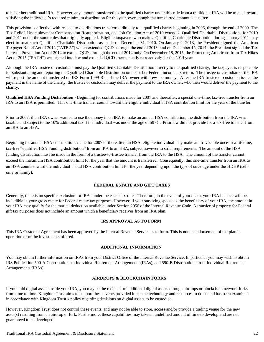to his or her traditional IRA. However, any amount transferred to the qualified charity under this rule from a traditional IRA will be treated toward satisfying the individual's required minimum distribution for the year, even though the transferred amount is tax-free.

This provision is effective with respect to distributions transferred directly to a qualified charity beginning in 2006, through the end of 2009. The Tax Relief, Unemployment Compensation Reauthorization, and Job Creation Act of 2010 extended Qualified Charitable Distributions for 2010 and 2011 under the same rules that originally applied. Eligible taxpayers who make a Qualified Charitable Distribution during January 2011 may elect to treat such Qualified Charitable Distribution as made on December 31, 2010. On January 2, 2013, the President signed the American Taxpayer Relief Act of 2012 ("ATRA") which extended QCDs through the end of 2013, and on December 16, 2014, the President signed the Tax Increase Prevention Act of 2014 to extend QCDs through the end of 2014 only. On December 18, 2015, the Protecting Americans from Tax Hikes Act of 2015 ("PATH") was signed into law and extended QCDs permanently retroactively for the 2015 year.

Although the IRA trustee or custodian must pay the Qualified Charitable Distribution directly to the qualified charity, the taxpayer is responsible for substantiating and reporting the Qualified Charitable Distribution on his or her Federal income tax return. The trustee or custodian of the IRA will report the amount transferred on IRS Form 1099-R as if the IRA owner withdrew the money. After the IRA trustee or custodian issues the payment in the name of the charity, the trustee or custodian may deliver the payment to the IRA owner, who then would deliver the payment to the charity.

**Qualified HSA Funding Distribution -** Beginning for contributions made for 2007 and thereafter, a special one-time, tax-free transfer from an IRA to an HSA is permitted. This one-time transfer counts toward the eligible individual's HSA contribution limit for the year of the transfer.

Prior to 2007, if an IRA owner wanted to use the money in an IRA to make an annual HSA contribution, the distribution from the IRA was taxable and subject to the 10% additional tax if the individual was under the age of 59 ½ . Prior law did not provide for a tax-free transfer from an IRA to an HSA.

Beginning for annual HSA contributions made for 2007 or thereafter, an HSA–eligible individual may make an irrevocable once-in-a-lifetime, tax-free "qualified HSA Funding distribution" from an IRA to an HSA, subject however to strict requirements. The amount of the HSA funding distribution must be made in the form of a trustee-to-trustee transfer from the IRA to the HSA. The amount of the transfer cannot exceed the maximum HSA contribution limit for the year that the amount is transferred. Consequently, this one-time transfer from an IRA to an HSA counts toward the individual's total HSA contribution limit for the year depending upon the type of coverage under the HDHP (selfonly or family).

# **FEDERAL ESTATE AND GIFT TAXES**

Generally, there is no specific exclusion for IRAs under the estate tax rules. Therefore, in the event of your death, your IRA balance will be includible in your gross estate for Federal estate tax purposes. However, if your surviving spouse is the beneficiary of your IRA, the amount in your IRA may qualify for the marital deduction available under Section 2056 of the Internal Revenue Code. A transfer of property for Federal gift tax purposes does not include an amount which a beneficiary receives from an IRA plan.

#### **IRS APPROVAL AS TO FORM**

This IRA Custodial Agreement has been approved by the Internal Revenue Service as to form. This is not an endorsement of the plan in operation or of the investments offered.

#### **ADDITIONAL INFORMATION**

You may obtain further information on IRAs from your District Office of the Internal Revenue Service. In particular you may wish to obtain IRS Publication 590-A Contributions to Individual Retirement Arrangements (IRAs), and 590-B Distributions from Individual Retirement Arrangements (IRAs).

#### **AIRDROPS & BLOCKCHAIN FORKS**

If you hold digital assets inside your IRA, you may be the recipient of additional digital assets through airdrops or blockchain network forks from time to time. Kingdom Trust aims to support these events provided it has the technology and resources to do so and has been examined in accordance with Kingdom Trust's policy regarding decisions on digital assets to be custodied.

However, Kingdom Trust does not control these events, and may not be able to store, access and/or provide a trading venue for the new asset(s) resulting from an airdrop or fork. Furthermore, these capabilities may take an undefined amount of time to develop and are not guaranteed to be developed.